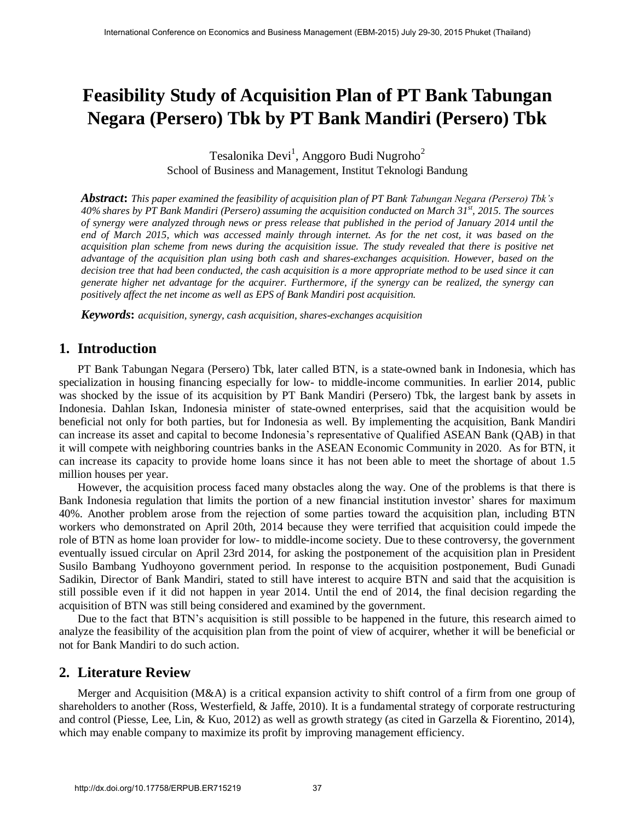# **Feasibility Study of Acquisition Plan of PT Bank Tabungan Negara (Persero) Tbk by PT Bank Mandiri (Persero) Tbk**

Tesalonika Devi<sup>1</sup>, Anggoro Budi Nugroho<sup>2</sup> School of Business and Management, Institut Teknologi Bandung

*Abstract***:** *This paper examined the feasibility of acquisition plan of PT Bank Tabungan Negara (Persero) Tbk's 40% shares by PT Bank Mandiri (Persero) assuming the acquisition conducted on March 31st , 2015. The sources of synergy were analyzed through news or press release that published in the period of January 2014 until the end of March 2015, which was accessed mainly through internet. As for the net cost, it was based on the acquisition plan scheme from news during the acquisition issue. The study revealed that there is positive net advantage of the acquisition plan using both cash and shares-exchanges acquisition. However, based on the decision tree that had been conducted, the cash acquisition is a more appropriate method to be used since it can generate higher net advantage for the acquirer. Furthermore, if the synergy can be realized, the synergy can positively affect the net income as well as EPS of Bank Mandiri post acquisition.*

*Keywords***:** *acquisition, synergy, cash acquisition, shares-exchanges acquisition*

# **1. Introduction**

PT Bank Tabungan Negara (Persero) Tbk, later called BTN, is a state-owned bank in Indonesia, which has specialization in housing financing especially for low- to middle-income communities. In earlier 2014, public was shocked by the issue of its acquisition by PT Bank Mandiri (Persero) Tbk, the largest bank by assets in Indonesia. Dahlan Iskan, Indonesia minister of state-owned enterprises, said that the acquisition would be beneficial not only for both parties, but for Indonesia as well. By implementing the acquisition, Bank Mandiri can increase its asset and capital to become Indonesia's representative of Qualified ASEAN Bank (QAB) in that it will compete with neighboring countries banks in the ASEAN Economic Community in 2020. As for BTN, it can increase its capacity to provide home loans since it has not been able to meet the shortage of about 1.5 million houses per year.

However, the acquisition process faced many obstacles along the way. One of the problems is that there is Bank Indonesia regulation that limits the portion of a new financial institution investor' shares for maximum 40%. Another problem arose from the rejection of some parties toward the acquisition plan, including BTN workers who demonstrated on April 20th, 2014 because they were terrified that acquisition could impede the role of BTN as home loan provider for low- to middle-income society. Due to these controversy, the government eventually issued circular on April 23rd 2014, for asking the postponement of the acquisition plan in President Susilo Bambang Yudhoyono government period. In response to the acquisition postponement, Budi Gunadi Sadikin, Director of Bank Mandiri, stated to still have interest to acquire BTN and said that the acquisition is still possible even if it did not happen in year 2014. Until the end of 2014, the final decision regarding the acquisition of BTN was still being considered and examined by the government.

Due to the fact that BTN's acquisition is still possible to be happened in the future, this research aimed to analyze the feasibility of the acquisition plan from the point of view of acquirer, whether it will be beneficial or not for Bank Mandiri to do such action.

# **2. Literature Review**

Merger and Acquisition (M&A) is a critical expansion activity to shift control of a firm from one group of shareholders to another (Ross, Westerfield, & Jaffe, 2010). It is a fundamental strategy of corporate restructuring and control (Piesse, Lee, Lin, & Kuo, 2012) as well as growth strategy (as cited in Garzella & Fiorentino, 2014), which may enable company to maximize its profit by improving management efficiency.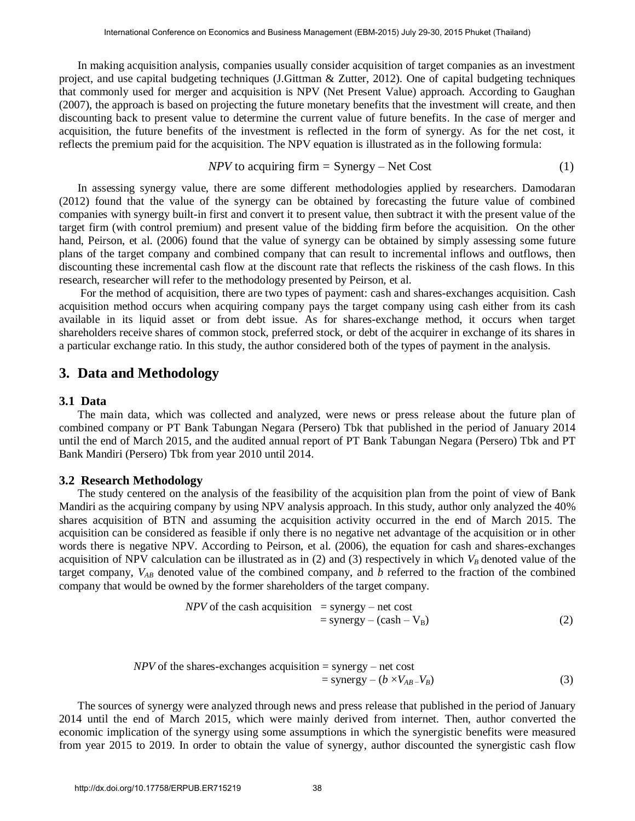In making acquisition analysis, companies usually consider acquisition of target companies as an investment project, and use capital budgeting techniques (J.Gittman & Zutter, 2012). One of capital budgeting techniques that commonly used for merger and acquisition is NPV (Net Present Value) approach. According to Gaughan (2007), the approach is based on projecting the future monetary benefits that the investment will create, and then discounting back to present value to determine the current value of future benefits. In the case of merger and acquisition, the future benefits of the investment is reflected in the form of synergy. As for the net cost, it reflects the premium paid for the acquisition. The NPV equation is illustrated as in the following formula:

$$
NPV \text{ to acquiring firm} = \text{Synergy} - \text{Net Cost} \tag{1}
$$

In assessing synergy value, there are some different methodologies applied by researchers. Damodaran (2012) found that the value of the synergy can be obtained by forecasting the future value of combined companies with synergy built-in first and convert it to present value, then subtract it with the present value of the target firm (with control premium) and present value of the bidding firm before the acquisition. On the other hand, Peirson, et al. (2006) found that the value of synergy can be obtained by simply assessing some future plans of the target company and combined company that can result to incremental inflows and outflows, then discounting these incremental cash flow at the discount rate that reflects the riskiness of the cash flows. In this research, researcher will refer to the methodology presented by Peirson, et al.

 For the method of acquisition, there are two types of payment: cash and shares-exchanges acquisition. Cash acquisition method occurs when acquiring company pays the target company using cash either from its cash available in its liquid asset or from debt issue. As for shares-exchange method, it occurs when target shareholders receive shares of common stock, preferred stock, or debt of the acquirer in exchange of its shares in a particular exchange ratio. In this study, the author considered both of the types of payment in the analysis.

## **3. Data and Methodology**

#### **3.1 Data**

The main data, which was collected and analyzed, were news or press release about the future plan of combined company or PT Bank Tabungan Negara (Persero) Tbk that published in the period of January 2014 until the end of March 2015, and the audited annual report of PT Bank Tabungan Negara (Persero) Tbk and PT Bank Mandiri (Persero) Tbk from year 2010 until 2014.

#### **3.2 Research Methodology**

The study centered on the analysis of the feasibility of the acquisition plan from the point of view of Bank Mandiri as the acquiring company by using NPV analysis approach. In this study, author only analyzed the 40% shares acquisition of BTN and assuming the acquisition activity occurred in the end of March 2015. The acquisition can be considered as feasible if only there is no negative net advantage of the acquisition or in other words there is negative NPV. According to Peirson, et al. (2006), the equation for cash and shares-exchanges acquisition of NPV calculation can be illustrated as in  $(2)$  and  $(3)$  respectively in which  $V_B$  denoted value of the target company, *VAB* denoted value of the combined company, and *b* referred to the fraction of the combined company that would be owned by the former shareholders of the target company.

$$
NPV \text{ of the cash acquisition} = \text{synergy} - \text{net cost} = \text{synergy} - (\text{cash} - V_{\text{B}})
$$
 (2)

*NPV* of the shares-exchanges acquisition = synergy – net cost  
= synergy – 
$$
(b \times V_{AB} - V_B)
$$
 (3)

 The sources of synergy were analyzed through news and press release that published in the period of January 2014 until the end of March 2015, which were mainly derived from internet. Then, author converted the economic implication of the synergy using some assumptions in which the synergistic benefits were measured from year 2015 to 2019. In order to obtain the value of synergy, author discounted the synergistic cash flow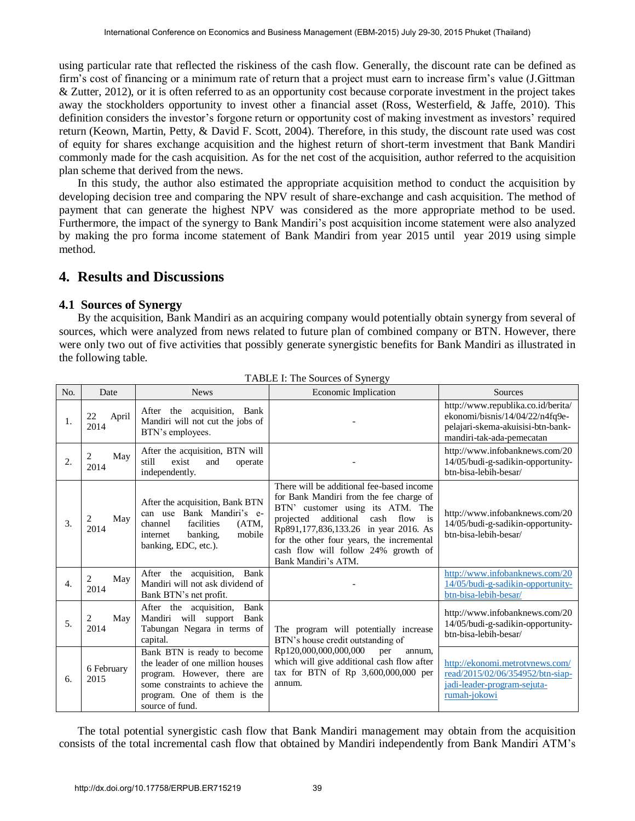using particular rate that reflected the riskiness of the cash flow. Generally, the discount rate can be defined as firm's cost of financing or a minimum rate of return that a project must earn to increase firm's value (J.Gittman & Zutter, 2012), or it is often referred to as an opportunity cost because corporate investment in the project takes away the stockholders opportunity to invest other a financial asset (Ross, Westerfield, & Jaffe, 2010). This definition considers the investor's forgone return or opportunity cost of making investment as investors' required return (Keown, Martin, Petty, & David F. Scott, 2004). Therefore, in this study, the discount rate used was cost of equity for shares exchange acquisition and the highest return of short-term investment that Bank Mandiri commonly made for the cash acquisition. As for the net cost of the acquisition, author referred to the acquisition plan scheme that derived from the news.

 In this study, the author also estimated the appropriate acquisition method to conduct the acquisition by developing decision tree and comparing the NPV result of share-exchange and cash acquisition. The method of payment that can generate the highest NPV was considered as the more appropriate method to be used. Furthermore, the impact of the synergy to Bank Mandiri's post acquisition income statement were also analyzed by making the pro forma income statement of Bank Mandiri from year 2015 until year 2019 using simple method.

# **4. Results and Discussions**

### **4.1 Sources of Synergy**

By the acquisition, Bank Mandiri as an acquiring company would potentially obtain synergy from several of sources, which were analyzed from news related to future plan of combined company or BTN. However, there were only two out of five activities that possibly generate synergistic benefits for Bank Mandiri as illustrated in the following table.

| No.              | Date                | <b>News</b>                                                                                                                                                                         | Economic Implication                                                                                                                                                                                                                                                                                                                                   | <b>Sources</b>                                                                                                                          |  |
|------------------|---------------------|-------------------------------------------------------------------------------------------------------------------------------------------------------------------------------------|--------------------------------------------------------------------------------------------------------------------------------------------------------------------------------------------------------------------------------------------------------------------------------------------------------------------------------------------------------|-----------------------------------------------------------------------------------------------------------------------------------------|--|
| 1.               | 22<br>April<br>2014 | After the acquisition, Bank<br>Mandiri will not cut the jobs of<br>BTN's employees.                                                                                                 |                                                                                                                                                                                                                                                                                                                                                        | http://www.republika.co.id/berita/<br>ekonomi/bisnis/14/04/22/n4fq9e-<br>pelajari-skema-akuisisi-btn-bank-<br>mandiri-tak-ada-pemecatan |  |
| 2.               | May<br>2<br>2014    | After the acquisition, BTN will<br>exist<br>still<br>and<br>operate<br>independently.                                                                                               |                                                                                                                                                                                                                                                                                                                                                        | http://www.infobanknews.com/20<br>14/05/budi-g-sadikin-opportunity-<br>btn-bisa-lebih-besar/                                            |  |
| 3.               | May<br>2014         | After the acquisition, Bank BTN<br>can use Bank Mandiri's e-<br>facilities<br>channel<br>(ATM,<br>mobile<br>banking.<br>internet<br>banking, EDC, etc.).                            | There will be additional fee-based income<br>for Bank Mandiri from the fee charge of<br>BTN' customer using its ATM. The<br>additional<br>$\overline{\phantom{a}}$ is<br>cash<br>flow<br>projected<br>Rp891,177,836,133.26 in year 2016. As<br>for the other four years, the incremental<br>cash flow will follow 24% growth of<br>Bank Mandiri's ATM. | http://www.infobanknews.com/20<br>14/05/budi-g-sadikin-opportunity-<br>btn-bisa-lebih-besar/                                            |  |
| $\overline{4}$ . | 2<br>May<br>2014    | After the acquisition,<br>Bank<br>Mandiri will not ask dividend of<br>Bank BTN's net profit.                                                                                        |                                                                                                                                                                                                                                                                                                                                                        | http://www.infobanknews.com/20<br>14/05/budi-g-sadikin-opportunity-<br>btn-bisa-lebih-besar/                                            |  |
| 5.               | 2<br>May<br>2014    | After the acquisition,<br>Bank<br>Mandiri will support<br>Bank<br>Tabungan Negara in terms of<br>capital.                                                                           | The program will potentially increase<br>BTN's house credit outstanding of                                                                                                                                                                                                                                                                             | http://www.infobanknews.com/20<br>14/05/budi-g-sadikin-opportunity-<br>btn-bisa-lebih-besar/                                            |  |
| 6.               | 6 February<br>2015  | Bank BTN is ready to become<br>the leader of one million houses<br>program. However, there are<br>some constraints to achieve the<br>program. One of them is the<br>source of fund. | Rp120,000,000,000,000<br>per<br>annum.<br>which will give additional cash flow after<br>tax for BTN of Rp $3,600,000,000$ per<br>annum.                                                                                                                                                                                                                | http://ekonomi.metrotynews.com/<br>read/2015/02/06/354952/btn-siap-<br>jadi-leader-program-sejuta-<br>rumah-jokowi                      |  |

TABLE I: The Sources of Synergy

 The total potential synergistic cash flow that Bank Mandiri management may obtain from the acquisition consists of the total incremental cash flow that obtained by Mandiri independently from Bank Mandiri ATM's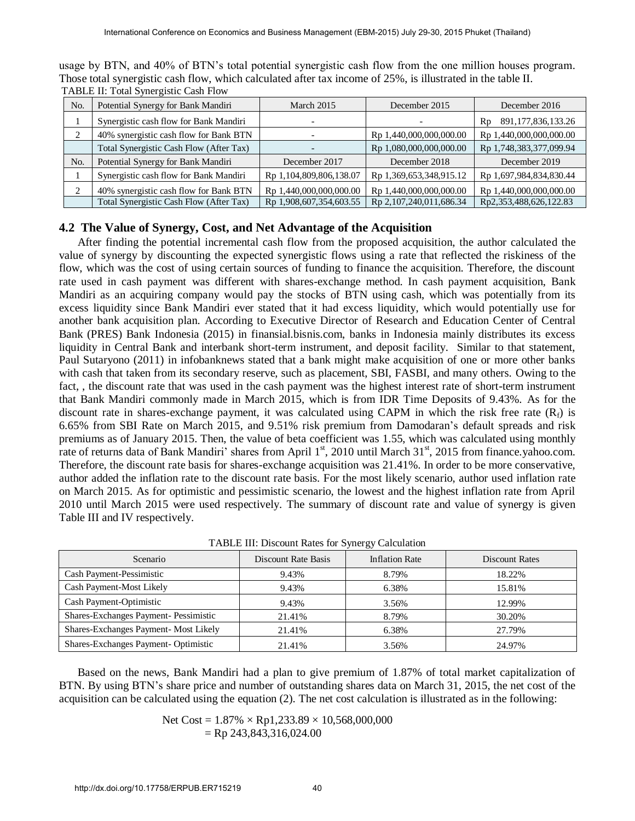| No. | Potential Synergy for Bank Mandiri      | March 2015              | December 2015           | December 2016                |
|-----|-----------------------------------------|-------------------------|-------------------------|------------------------------|
|     | Synergistic cash flow for Bank Mandiri  |                         |                         | 891, 177, 836, 133. 26<br>Rp |
|     | 40% synergistic cash flow for Bank BTN  |                         | Rp 1,440,000,000,000.00 | Rp 1,440,000,000,000.00      |
|     | Total Synergistic Cash Flow (After Tax) |                         | Rp 1,080,000,000,000.00 | Rp 1,748,383,377,099.94      |
| No. | Potential Synergy for Bank Mandiri      | December 2017           | December 2018           | December 2019                |
|     | Synergistic cash flow for Bank Mandiri  | Rp 1,104,809,806,138.07 | Rp 1,369,653,348,915.12 | Rp 1,697,984,834,830.44      |
|     | 40% synergistic cash flow for Bank BTN  | Rp 1,440,000,000,000.00 | Rp 1,440,000,000,000.00 | Rp 1,440,000,000,000.00      |
|     | Total Synergistic Cash Flow (After Tax) | Rp 1,908,607,354,603.55 | Rp 2,107,240,011,686.34 | Rp2,353,488,626,122.83       |

usage by BTN, and 40% of BTN's total potential synergistic cash flow from the one million houses program. Those total synergistic cash flow, which calculated after tax income of 25%, is illustrated in the table II. TABLE II: Total Synergistic Cash Flow

## **4.2 The Value of Synergy, Cost, and Net Advantage of the Acquisition**

After finding the potential incremental cash flow from the proposed acquisition, the author calculated the value of synergy by discounting the expected synergistic flows using a rate that reflected the riskiness of the flow, which was the cost of using certain sources of funding to finance the acquisition. Therefore, the discount rate used in cash payment was different with shares-exchange method. In cash payment acquisition, Bank Mandiri as an acquiring company would pay the stocks of BTN using cash, which was potentially from its excess liquidity since Bank Mandiri ever stated that it had excess liquidity, which would potentially use for another bank acquisition plan. According to Executive Director of Research and Education Center of Central Bank (PRES) Bank Indonesia (2015) in finansial.bisnis.com, banks in Indonesia mainly distributes its excess liquidity in Central Bank and interbank short-term instrument, and deposit facility. Similar to that statement, Paul Sutaryono (2011) in infobanknews stated that a bank might make acquisition of one or more other banks with cash that taken from its secondary reserve, such as placement, SBI, FASBI, and many others. Owing to the fact, , the discount rate that was used in the cash payment was the highest interest rate of short-term instrument that Bank Mandiri commonly made in March 2015, which is from IDR Time Deposits of 9.43%. As for the discount rate in shares-exchange payment, it was calculated using CAPM in which the risk free rate  $(R_f)$  is 6.65% from SBI Rate on March 2015, and 9.51% risk premium from Damodaran's default spreads and risk premiums as of January 2015. Then, the value of beta coefficient was 1.55, which was calculated using monthly rate of returns data of Bank Mandiri' shares from April 1<sup>st</sup>, 2010 until March 31<sup>st</sup>, 2015 from finance.yahoo.com. Therefore, the discount rate basis for shares-exchange acquisition was 21.41%. In order to be more conservative, author added the inflation rate to the discount rate basis. For the most likely scenario, author used inflation rate on March 2015. As for optimistic and pessimistic scenario, the lowest and the highest inflation rate from April 2010 until March 2015 were used respectively. The summary of discount rate and value of synergy is given Table III and IV respectively.

| Scenario                              | Discount Rate Basis | <b>Inflation Rate</b> | <b>Discount Rates</b> |
|---------------------------------------|---------------------|-----------------------|-----------------------|
| Cash Payment-Pessimistic              | 9.43%               | 8.79%                 | 18.22%                |
| Cash Payment-Most Likely              | 9.43%               | 6.38%                 | 15.81%                |
| Cash Payment-Optimistic               | 9.43%               | 3.56%                 | 12.99%                |
| Shares-Exchanges Payment- Pessimistic | 21.41%              | 8.79%                 | 30.20%                |
| Shares-Exchanges Payment- Most Likely | 21.41%              | 6.38%                 | 27.79%                |
| Shares-Exchanges Payment-Optimistic   | 21.41%              | 3.56%                 | 24.97%                |

TABLE III: Discount Rates for Synergy Calculation

Based on the news, Bank Mandiri had a plan to give premium of 1.87% of total market capitalization of BTN. By using BTN's share price and number of outstanding shares data on March 31, 2015, the net cost of the acquisition can be calculated using the equation (2). The net cost calculation is illustrated as in the following:

Net Cost = 
$$
1.87\% \times \text{Rp1,233.89} \times 10,568,000,000
$$
  
= Rp 243,843,316,024.00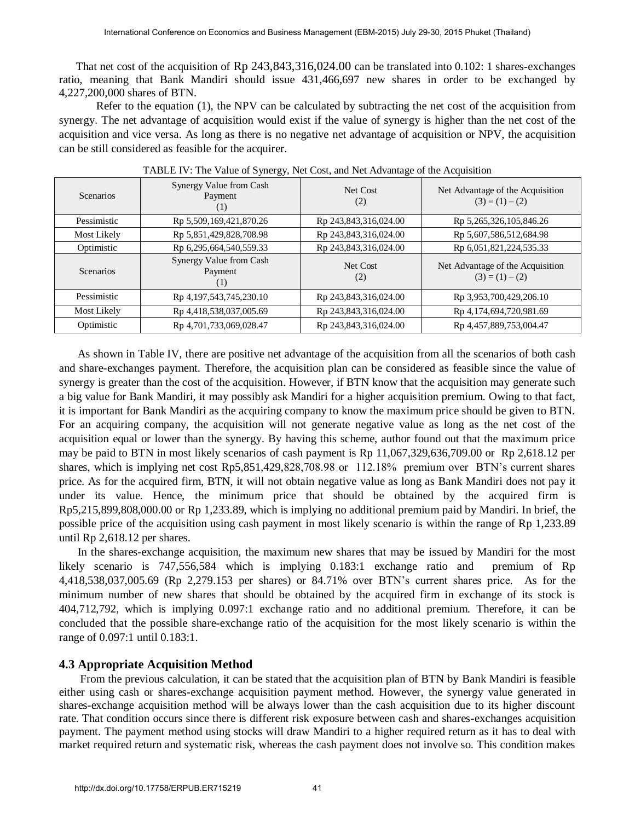That net cost of the acquisition of Rp 243,843,316,024.00 can be translated into 0.102: 1 shares-exchanges ratio, meaning that Bank Mandiri should issue 431,466,697 new shares in order to be exchanged by 4,227,200,000 shares of BTN.

Refer to the equation (1), the NPV can be calculated by subtracting the net cost of the acquisition from synergy. The net advantage of acquisition would exist if the value of synergy is higher than the net cost of the acquisition and vice versa. As long as there is no negative net advantage of acquisition or NPV, the acquisition can be still considered as feasible for the acquirer.

| Scenarios        | Synergy Value from Cash<br>Payment<br>$\left(1\right)$ | Net Cost<br>(2)       | Net Advantage of the Acquisition<br>$(3) = (1) - (2)$ |
|------------------|--------------------------------------------------------|-----------------------|-------------------------------------------------------|
| Pessimistic      | Rp 5,509,169,421,870.26                                | Rp 243,843,316,024.00 | Rp 5,265,326,105,846.26                               |
| Most Likely      | Rp 5,851,429,828,708.98                                | Rp 243,843,316,024.00 | Rp 5,607,586,512,684.98                               |
| Optimistic       | Rp 6,295,664,540,559.33                                | Rp 243,843,316,024.00 | Rp 6,051,821,224,535.33                               |
| <b>Scenarios</b> | Synergy Value from Cash<br>Payment<br>(1)              | Net Cost<br>(2)       | Net Advantage of the Acquisition<br>$(3) = (1) - (2)$ |
| Pessimistic      | Rp 4,197,543,745,230.10                                | Rp 243,843,316,024.00 | Rp 3,953,700,429,206.10                               |
| Most Likely      | Rp 4,418,538,037,005.69                                | Rp 243,843,316,024.00 | Rp 4,174,694,720,981.69                               |
| Optimistic       | Rp 4,701,733,069,028.47                                | Rp 243,843,316,024.00 | Rp 4,457,889,753,004.47                               |

TABLE IV: The Value of Synergy, Net Cost, and Net Advantage of the Acquisition

As shown in Table IV, there are positive net advantage of the acquisition from all the scenarios of both cash and share-exchanges payment. Therefore, the acquisition plan can be considered as feasible since the value of synergy is greater than the cost of the acquisition. However, if BTN know that the acquisition may generate such a big value for Bank Mandiri, it may possibly ask Mandiri for a higher acquisition premium. Owing to that fact, it is important for Bank Mandiri as the acquiring company to know the maximum price should be given to BTN. For an acquiring company, the acquisition will not generate negative value as long as the net cost of the acquisition equal or lower than the synergy. By having this scheme, author found out that the maximum price may be paid to BTN in most likely scenarios of cash payment is Rp 11,067,329,636,709.00 or Rp 2,618.12 per shares, which is implying net cost Rp5,851,429,828,708.98 or 112.18% premium over BTN's current shares price. As for the acquired firm, BTN, it will not obtain negative value as long as Bank Mandiri does not pay it under its value. Hence, the minimum price that should be obtained by the acquired firm is Rp5,215,899,808,000.00 or Rp 1,233.89, which is implying no additional premium paid by Mandiri. In brief, the possible price of the acquisition using cash payment in most likely scenario is within the range of Rp 1,233.89 until Rp 2,618.12 per shares.

In the shares-exchange acquisition, the maximum new shares that may be issued by Mandiri for the most likely scenario is 747,556,584 which is implying 0.183:1 exchange ratio and premium of Rp 4,418,538,037,005.69 (Rp 2,279.153 per shares) or 84.71% over BTN's current shares price. As for the minimum number of new shares that should be obtained by the acquired firm in exchange of its stock is 404,712,792, which is implying 0.097:1 exchange ratio and no additional premium. Therefore, it can be concluded that the possible share-exchange ratio of the acquisition for the most likely scenario is within the range of 0.097:1 until 0.183:1.

#### **4.3 Appropriate Acquisition Method**

From the previous calculation, it can be stated that the acquisition plan of BTN by Bank Mandiri is feasible either using cash or shares-exchange acquisition payment method. However, the synergy value generated in shares-exchange acquisition method will be always lower than the cash acquisition due to its higher discount rate. That condition occurs since there is different risk exposure between cash and shares-exchanges acquisition payment. The payment method using stocks will draw Mandiri to a higher required return as it has to deal with market required return and systematic risk, whereas the cash payment does not involve so. This condition makes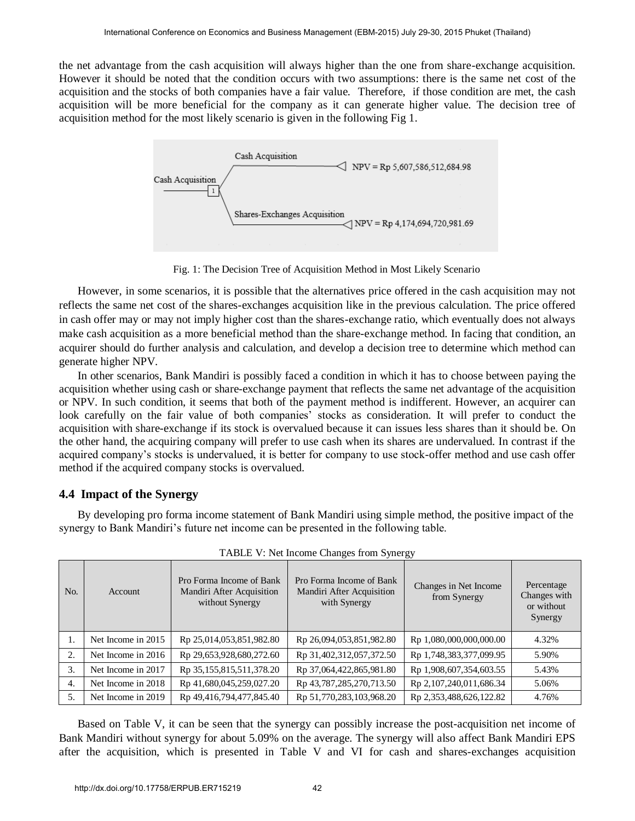the net advantage from the cash acquisition will always higher than the one from share-exchange acquisition. However it should be noted that the condition occurs with two assumptions: there is the same net cost of the acquisition and the stocks of both companies have a fair value. Therefore, if those condition are met, the cash acquisition will be more beneficial for the company as it can generate higher value. The decision tree of acquisition method for the most likely scenario is given in the following Fig 1.



Fig. 1: The Decision Tree of Acquisition Method in Most Likely Scenario

However, in some scenarios, it is possible that the alternatives price offered in the cash acquisition may not reflects the same net cost of the shares-exchanges acquisition like in the previous calculation. The price offered in cash offer may or may not imply higher cost than the shares-exchange ratio, which eventually does not always make cash acquisition as a more beneficial method than the share-exchange method. In facing that condition, an acquirer should do further analysis and calculation, and develop a decision tree to determine which method can generate higher NPV.

In other scenarios, Bank Mandiri is possibly faced a condition in which it has to choose between paying the acquisition whether using cash or share-exchange payment that reflects the same net advantage of the acquisition or NPV. In such condition, it seems that both of the payment method is indifferent. However, an acquirer can look carefully on the fair value of both companies' stocks as consideration. It will prefer to conduct the acquisition with share-exchange if its stock is overvalued because it can issues less shares than it should be. On the other hand, the acquiring company will prefer to use cash when its shares are undervalued. In contrast if the acquired company's stocks is undervalued, it is better for company to use stock-offer method and use cash offer method if the acquired company stocks is overvalued.

## **4.4 Impact of the Synergy**

By developing pro forma income statement of Bank Mandiri using simple method, the positive impact of the synergy to Bank Mandiri's future net income can be presented in the following table.

| No. | Account            | Pro Forma Income of Bank<br>Mandiri After Acquisition<br>without Synergy | Pro Forma Income of Bank<br>Mandiri After Acquisition<br>with Synergy | Changes in Net Income<br>from Synergy | Percentage<br>Changes with<br>or without<br>Synergy |
|-----|--------------------|--------------------------------------------------------------------------|-----------------------------------------------------------------------|---------------------------------------|-----------------------------------------------------|
| 1.  | Net Income in 2015 | Rp 25,014,053,851,982.80                                                 | Rp 26,094,053,851,982.80                                              | Rp 1,080,000,000,000.00               | 4.32%                                               |
| 2.  | Net Income in 2016 | Rp 29,653,928,680,272.60                                                 | Rp 31,402,312,057,372.50                                              | Rp 1,748,383,377,099.95               | 5.90%                                               |
| 3.  | Net Income in 2017 | Rp 35,155,815,511,378.20                                                 | Rp 37,064,422,865,981.80                                              | Rp 1,908,607,354,603.55               | 5.43%                                               |
| 4.  | Net Income in 2018 | Rp 41,680,045,259,027.20                                                 | Rp 43,787,285,270,713.50                                              | Rp 2,107,240,011,686.34               | 5.06%                                               |
| 5.  | Net Income in 2019 | Rp 49,416,794,477,845.40                                                 | Rp 51,770,283,103,968.20                                              | Rp 2,353,488,626,122.82               | 4.76%                                               |

TABLE V: Net Income Changes from Synergy

Based on Table V, it can be seen that the synergy can possibly increase the post-acquisition net income of Bank Mandiri without synergy for about 5.09% on the average. The synergy will also affect Bank Mandiri EPS after the acquisition, which is presented in Table V and VI for cash and shares-exchanges acquisition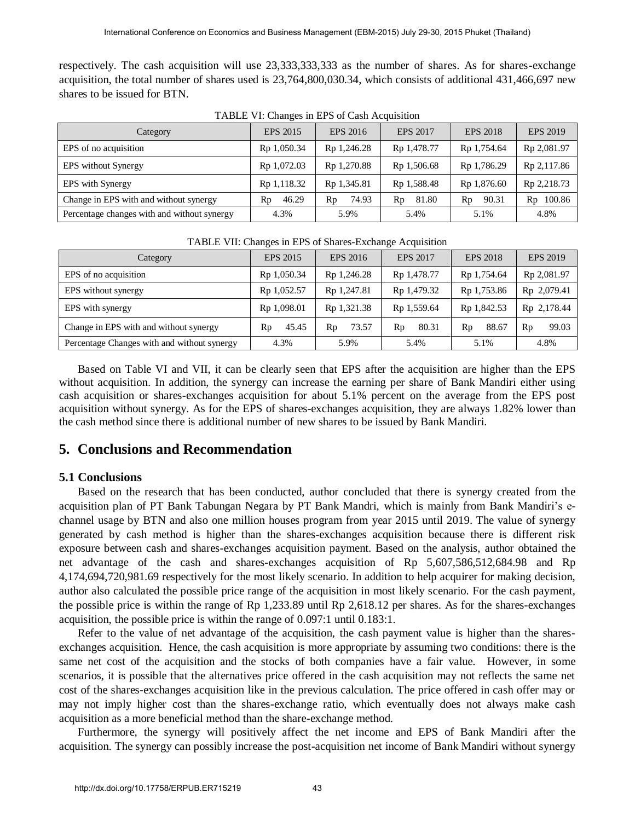respectively. The cash acquisition will use 23,333,333,333 as the number of shares. As for shares-exchange acquisition, the total number of shares used is 23,764,800,030.34, which consists of additional 431,466,697 new shares to be issued for BTN.

| Category                                    | <b>EPS 2015</b> | <b>EPS 2016</b> | EPS 2017    | <b>EPS 2018</b> | <b>EPS 2019</b> |
|---------------------------------------------|-----------------|-----------------|-------------|-----------------|-----------------|
| EPS of no acquisition                       | Rp 1,050.34     | Rp 1,246.28     | Rp 1,478.77 | Rp 1,754.64     | Rp 2,081.97     |
| <b>EPS</b> without Synergy                  | Rp 1,072.03     | Rp 1,270.88     | Rp 1,506.68 | Rp 1,786.29     | Rp 2,117.86     |
| EPS with Synergy                            | Rp 1,118.32     | Rp 1,345.81     | Rp 1,588.48 | Rp 1,876.60     | Rp 2,218.73     |
| Change in EPS with and without synergy      | 46.29<br>Rp     | 74.93<br>Rp     | 81.80<br>Rp | 90.31<br>Rp     | 100.86<br>Rp    |
| Percentage changes with and without synergy | 4.3%            | 5.9%            | 5.4%        | 5.1%            | 4.8%            |

TABLE VI: Changes in EPS of Cash Acquisition

| Category                                    | EPS 2015                | EPS 2016    | <b>EPS 2017</b> | EPS 2018    | EPS 2019    |
|---------------------------------------------|-------------------------|-------------|-----------------|-------------|-------------|
| EPS of no acquisition                       | Rp 1,050.34             | Rp 1,246.28 | Rp 1,478.77     | Rp 1,754.64 | Rp 2,081.97 |
| EPS without synergy                         | Rp 1,052.57             | Rp 1,247.81 | Rp 1,479.32     | Rp 1,753.86 | Rp 2,079.41 |
| EPS with synergy                            | R <sub>p</sub> 1,098.01 | Rp 1,321.38 | Rp 1,559.64     | Rp 1,842.53 | Rp 2,178.44 |
| Change in EPS with and without synergy      | 45.45<br>Rp             | 73.57<br>Rp | 80.31<br>Rp     | 88.67<br>Rp | 99.03<br>Rp |
| Percentage Changes with and without synergy | 4.3%                    | 5.9%        | 5.4%            | 5.1%        | 4.8%        |

TABLE VII: Changes in EPS of Shares-Exchange Acquisition

Based on Table VI and VII, it can be clearly seen that EPS after the acquisition are higher than the EPS without acquisition. In addition, the synergy can increase the earning per share of Bank Mandiri either using cash acquisition or shares-exchanges acquisition for about 5.1% percent on the average from the EPS post acquisition without synergy. As for the EPS of shares-exchanges acquisition, they are always 1.82% lower than the cash method since there is additional number of new shares to be issued by Bank Mandiri.

# **5. Conclusions and Recommendation**

#### **5.1 Conclusions**

Based on the research that has been conducted, author concluded that there is synergy created from the acquisition plan of PT Bank Tabungan Negara by PT Bank Mandri, which is mainly from Bank Mandiri's echannel usage by BTN and also one million houses program from year 2015 until 2019. The value of synergy generated by cash method is higher than the shares-exchanges acquisition because there is different risk exposure between cash and shares-exchanges acquisition payment. Based on the analysis, author obtained the net advantage of the cash and shares-exchanges acquisition of Rp 5,607,586,512,684.98 and Rp 4,174,694,720,981.69 respectively for the most likely scenario. In addition to help acquirer for making decision, author also calculated the possible price range of the acquisition in most likely scenario. For the cash payment, the possible price is within the range of Rp 1,233.89 until Rp 2,618.12 per shares. As for the shares-exchanges acquisition, the possible price is within the range of 0.097:1 until 0.183:1.

Refer to the value of net advantage of the acquisition, the cash payment value is higher than the sharesexchanges acquisition. Hence, the cash acquisition is more appropriate by assuming two conditions: there is the same net cost of the acquisition and the stocks of both companies have a fair value. However, in some scenarios, it is possible that the alternatives price offered in the cash acquisition may not reflects the same net cost of the shares-exchanges acquisition like in the previous calculation. The price offered in cash offer may or may not imply higher cost than the shares-exchange ratio, which eventually does not always make cash acquisition as a more beneficial method than the share-exchange method.

Furthermore, the synergy will positively affect the net income and EPS of Bank Mandiri after the acquisition. The synergy can possibly increase the post-acquisition net income of Bank Mandiri without synergy